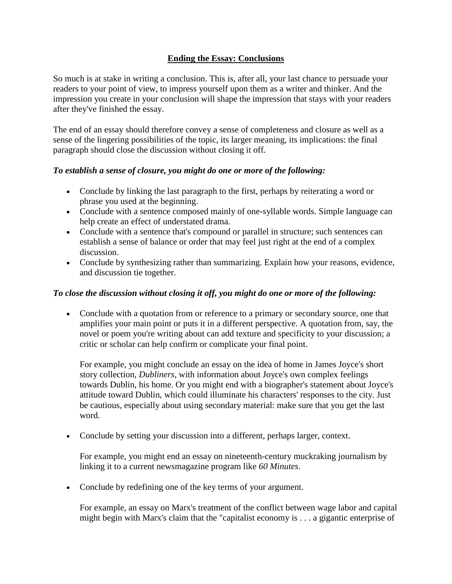# **Ending the Essay: Conclusions**

So much is at stake in writing a conclusion. This is, after all, your last chance to persuade your readers to your point of view, to impress yourself upon them as a writer and thinker. And the impression you create in your conclusion will shape the impression that stays with your readers after they've finished the essay.

The end of an essay should therefore convey a sense of completeness and closure as well as a sense of the lingering possibilities of the topic, its larger meaning, its implications: the final paragraph should close the discussion without closing it off.

## *To establish a sense of closure, you might do one or more of the following:*

- Conclude by linking the last paragraph to the first, perhaps by reiterating a word or phrase you used at the beginning.
- Conclude with a sentence composed mainly of one-syllable words. Simple language can help create an effect of understated drama.
- Conclude with a sentence that's compound or parallel in structure; such sentences can establish a sense of balance or order that may feel just right at the end of a complex discussion.
- Conclude by synthesizing rather than summarizing. Explain how your reasons, evidence, and discussion tie together.

### *To close the discussion without closing it off, you might do one or more of the following:*

 Conclude with a quotation from or reference to a primary or secondary source, one that amplifies your main point or puts it in a different perspective. A quotation from, say, the novel or poem you're writing about can add texture and specificity to your discussion; a critic or scholar can help confirm or complicate your final point.

For example, you might conclude an essay on the idea of home in James Joyce's short story collection, *Dubliners*, with information about Joyce's own complex feelings towards Dublin, his home. Or you might end with a biographer's statement about Joyce's attitude toward Dublin, which could illuminate his characters' responses to the city. Just be cautious, especially about using secondary material: make sure that you get the last word.

Conclude by setting your discussion into a different, perhaps larger, context.

For example, you might end an essay on nineteenth-century muckraking journalism by linking it to a current newsmagazine program like *60 Minutes*.

• Conclude by redefining one of the key terms of your argument.

For example, an essay on Marx's treatment of the conflict between wage labor and capital might begin with Marx's claim that the "capitalist economy is . . . a gigantic enterprise of